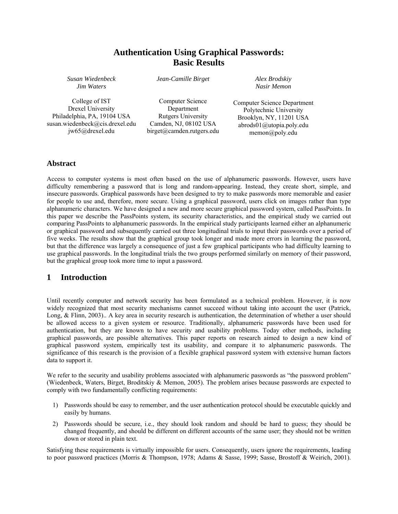# **Authentication Using Graphical Passwords: Basic Results**

*Susan Wiedenbeck Jim Waters* 

*Jean-Camille Birget* 

*Alex Brodskiy Nasir Memon* 

College of IST Drexel University Philadelphia, PA, 19104 USA susan.wiedenbeck@cis.drexel.edu jw65@drexel.edu

Computer Science Department Rutgers University Camden, NJ, 08102 USA birget@camden.rutgers.edu

Computer Science Department Polytechnic University Brooklyn, NY, 11201 USA abrods01@utopia.poly.edu memon@poly.edu

#### **Abstract**

Access to computer systems is most often based on the use of alphanumeric passwords. However, users have difficulty remembering a password that is long and random-appearing. Instead, they create short, simple, and insecure passwords. Graphical passwords have been designed to try to make passwords more memorable and easier for people to use and, therefore, more secure. Using a graphical password, users click on images rather than type alphanumeric characters. We have designed a new and more secure graphical password system, called PassPoints. In this paper we describe the PassPoints system, its security characteristics, and the empirical study we carried out comparing PassPoints to alphanumeric passwords. In the empirical study participants learned either an alphanumeric or graphical password and subsequently carried out three longitudinal trials to input their passwords over a period of five weeks. The results show that the graphical group took longer and made more errors in learning the password, but that the difference was largely a consequence of just a few graphical participants who had difficulty learning to use graphical passwords. In the longitudinal trials the two groups performed similarly on memory of their password, but the graphical group took more time to input a password.

### **1 Introduction**

Until recently computer and network security has been formulated as a technical problem. However, it is now widely recognized that most security mechanisms cannot succeed without taking into account the user (Patrick, Long, & Flinn, 2003).. A key area in security research is authentication, the determination of whether a user should be allowed access to a given system or resource. Traditionally, alphanumeric passwords have been used for authentication, but they are known to have security and usability problems. Today other methods, including graphical passwords, are possible alternatives. This paper reports on research aimed to design a new kind of graphical password system, empirically test its usability, and compare it to alphanumeric passwords. The significance of this research is the provision of a flexible graphical password system with extensive human factors data to support it.

We refer to the security and usability problems associated with alphanumeric passwords as "the password problem" (Wiedenbeck, Waters, Birget, Broditskiy & Memon, 2005). The problem arises because passwords are expected to comply with two fundamentally conflicting requirements:

- 1) Passwords should be easy to remember, and the user authentication protocol should be executable quickly and easily by humans.
- 2) Passwords should be secure, i.e., they should look random and should be hard to guess; they should be changed frequently, and should be different on different accounts of the same user; they should not be written down or stored in plain text.

Satisfying these requirements is virtually impossible for users. Consequently, users ignore the requirements, leading to poor password practices (Morris & Thompson, 1978; Adams & Sasse, 1999; Sasse, Brostoff & Weirich, 2001).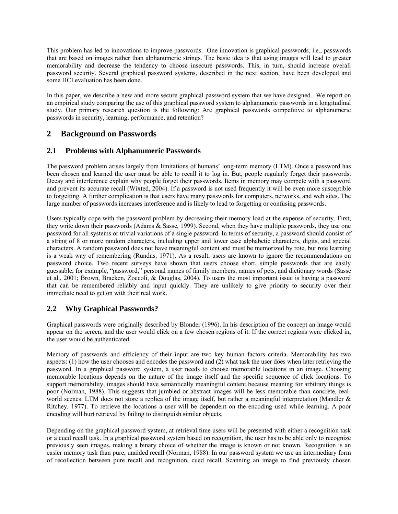This problem has led to innovations to improve passwords. One innovation is graphical passwords, i.e., passwords that are based on images rather than alphanumeric strings. The basic idea is that using images will lead to greater memorability and decrease the tendency to choose insecure passwords. This, in turn, should increase overall password security. Several graphical password systems, described in the next section, have been developed and some HCI evaluation has been done.

In this paper, we describe a new and more secure graphical password system that we have designed. We report on an empirical study comparing the use of this graphical password system to alphanumeric passwords in a longitudinal study. Our primary research question is the following: Are graphical passwords competitive to alphanumeric passwords in security, learning, performance, and retention?

# **2 Background on Passwords**

#### **2.1 Problems with Alphanumeric Passwords**

The password problem arises largely from limitations of humans' long-term memory (LTM). Once a password has been chosen and learned the user must be able to recall it to log in. But, people regularly forget their passwords. Decay and interference explain why people forget their passwords. Items in memory may compete with a password and prevent its accurate recall (Wixted, 2004). If a password is not used frequently it will be even more susceptible to forgetting. A further complication is that users have many passwords for computers, networks, and web sites. The large number of passwords increases interference and is likely to lead to forgetting or confusing passwords.

Users typically cope with the password problem by decreasing their memory load at the expense of security. First, they write down their passwords (Adams & Sasse, 1999). Second, when they have multiple passwords, they use one password for all systems or trivial variations of a single password. In terms of security, a password should consist of a string of 8 or more random characters, including upper and lower case alphabetic characters, digits, and special characters. A random password does not have meaningful content and must be memorized by rote, but rote learning is a weak way of remembering (Rundus, 1971). As a result, users are known to ignore the recommendations on password choice. Two recent surveys have shown that users choose short, simple passwords that are easily guessable, for example, "password," personal names of family members, names of pets, and dictionary words (Sasse et al., 2001; Brown, Bracken, Zoccoli, & Douglas, 2004). To users the most important issue is having a password that can be remembered reliably and input quickly. They are unlikely to give priority to security over their immediate need to get on with their real work.

### **2.2 Why Graphical Passwords?**

Graphical passwords were originally described by Blonder (1996). In his description of the concept an image would appear on the screen, and the user would click on a few chosen regions of it. If the correct regions were clicked in, the user would be authenticated.

Memory of passwords and efficiency of their input are two key human factors criteria. Memorability has two aspects: (1) how the user chooses and encodes the password and (2) what task the user does when later retrieving the password. In a graphical password system, a user needs to choose memorable locations in an image. Choosing memorable locations depends on the nature of the image itself and the specific sequence of click locations. To support memorability, images should have semantically meaningful content because meaning for arbitrary things is poor (Norman, 1988). This suggests that jumbled or abstract images will be less memorable than concrete, realworld scenes. LTM does not store a replica of the image itself, but rather a meaningful interpretation (Mandler & Ritchey, 1977). To retrieve the locations a user will be dependent on the encoding used while learning. A poor encoding will hurt retrieval by failing to distinguish similar objects.

Depending on the graphical password system, at retrieval time users will be presented with either a recognition task or a cued recall task. In a graphical password system based on recognition, the user has to be able only to recognize previously seen images, making a binary choice of whether the image is known or not known. Recognition is an easier memory task than pure, unaided recall (Norman, 1988). In our password system we use an intermediary form of recollection between pure recall and recognition, cued recall. Scanning an image to find previously chosen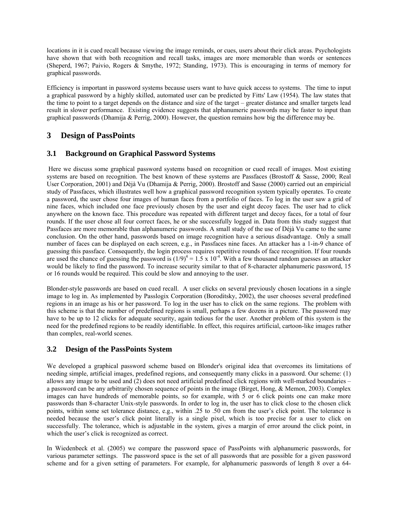locations in it is cued recall because viewing the image reminds, or cues, users about their click areas. Psychologists have shown that with both recognition and recall tasks, images are more memorable than words or sentences (Sheperd, 1967; Paivio, Rogers & Smythe, 1972; Standing, 1973). This is encouraging in terms of memory for graphical passwords.

Efficiency is important in password systems because users want to have quick access to systems. The time to input a graphical password by a highly skilled, automated user can be predicted by Fitts' Law (1954). The law states that the time to point to a target depends on the distance and size of the target – greater distance and smaller targets lead result in slower performance. Existing evidence suggests that alphanumeric passwords may be faster to input than graphical passwords (Dhamija & Perrig, 2000). However, the question remains how big the difference may be.

# **3 Design of PassPoints**

## **3.1 Background on Graphical Password Systems**

 Here we discuss some graphical password systems based on recognition or cued recall of images. Most existing systems are based on recognition. The best known of these systems are Passfaces (Brostoff & Sasse, 2000; Real User Corporation, 2001) and Déjà Vu (Dhamija & Perrig, 2000). Brostoff and Sasse (2000) carried out an empiricial study of Passfaces, which illustrates well how a graphical password recognition system typically operates. To create a password, the user chose four images of human faces from a portfolio of faces. To log in the user saw a grid of nine faces, which included one face previously chosen by the user and eight decoy faces. The user had to click anywhere on the known face. This procedure was repeated with different target and decoy faces, for a total of four rounds. If the user chose all four correct faces, he or she successfully logged in. Data from this study suggest that Passfaces are more memorable than alphanumeric passwords. A small study of the use of Déjà Vu came to the same conclusion. On the other hand, passwords based on image recognition have a serious disadvantage. Only a small number of faces can be displayed on each screen, e.g., in Passfaces nine faces. An attacker has a 1-in-9 chance of guessing this passface. Consequently, the login process requires repetitive rounds of face recognition. If four rounds are used the chance of guessing the password is  $(1/9)^4 = 1.5 \times 10^{-4}$ . With a few thousand random guesses an attacker would be likely to find the password. To increase security similar to that of 8-character alphanumeric password, 15 or 16 rounds would be required. This could be slow and annoying to the user.

Blonder-style passwords are based on cued recall. A user clicks on several previously chosen locations in a single image to log in. As implemented by Passlogix Corporation (Boroditsky, 2002), the user chooses several predefined regions in an image as his or her password. To log in the user has to click on the same regions. The problem with this scheme is that the number of predefined regions is small, perhaps a few dozens in a picture. The password may have to be up to 12 clicks for adequate security, again tedious for the user. Another problem of this system is the need for the predefined regions to be readily identifiable. In effect, this requires artificial, cartoon-like images rather than complex, real-world scenes.

### **3.2 Design of the PassPoints System**

We developed a graphical password scheme based on Blonder's original idea that overcomes its limitations of needing simple, artificial images, predefined regions, and consequently many clicks in a password. Our scheme: (1) allows any image to be used and (2) does not need artificial predefined click regions with well-marked boundaries – a password can be any arbitrarily chosen sequence of points in the image (Birget, Hong, & Memon, 2003). Complex images can have hundreds of memorable points, so for example, with 5 or 6 click points one can make more passwords than 8-character Unix-style passwords. In order to log in, the user has to click close to the chosen click points, within some set tolerance distance, e.g., within .25 to .50 cm from the user's click point. The tolerance is needed because the user's click point literally is a single pixel, which is too precise for a user to click on successfully. The tolerance, which is adjustable in the system, gives a margin of error around the click point, in which the user's click is recognized as correct.

In Wiedenbeck et al. (2005) we compare the password space of PassPoints with alphanumeric passwords, for various parameter settings. The password space is the set of all passwords that are possible for a given password scheme and for a given setting of parameters. For example, for alphanumeric passwords of length 8 over a 64-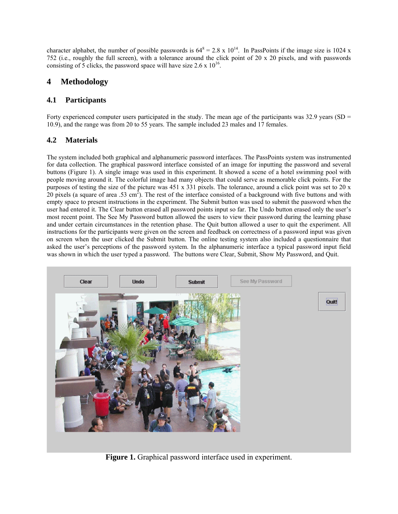character alphabet, the number of possible passwords is  $64^8 = 2.8 \times 10^{14}$ . In PassPoints if the image size is 1024 x 752 (i.e., roughly the full screen), with a tolerance around the click point of 20 х 20 pixels, and with passwords consisting of 5 clicks, the password space will have size  $2.6 \times 10^{16}$ .

# **4 Methodology**

### **4.1 Participants**

Forty experienced computer users participated in the study. The mean age of the participants was 32.9 years (SD = 10.9), and the range was from 20 to 55 years. The sample included 23 males and 17 females.

### **4.2 Materials**

The system included both graphical and alphanumeric password interfaces. The PassPoints system was instrumented for data collection. The graphical password interface consisted of an image for inputting the password and several buttons (Figure 1). A single image was used in this experiment. It showed a scene of a hotel swimming pool with people moving around it. The colorful image had many objects that could serve as memorable click points. For the purposes of testing the size of the picture was 451 x 331 pixels. The tolerance, around a click point was set to 20 x 20 pixels (a square of area .53 cm<sup>2</sup>). The rest of the interface consisted of a background with five buttons and with empty space to present instructions in the experiment. The Submit button was used to submit the password when the user had entered it. The Clear button erased all password points input so far. The Undo button erased only the user's most recent point. The See My Password button allowed the users to view their password during the learning phase and under certain circumstances in the retention phase. The Quit button allowed a user to quit the experiment. All instructions for the participants were given on the screen and feedback on correctness of a password input was given on screen when the user clicked the Submit button. The online testing system also included a questionnaire that asked the user's perceptions of the password system. In the alphanumeric interface a typical password input field was shown in which the user typed a password. The buttons were Clear, Submit, Show My Password, and Quit.



**Figure 1.** Graphical password interface used in experiment.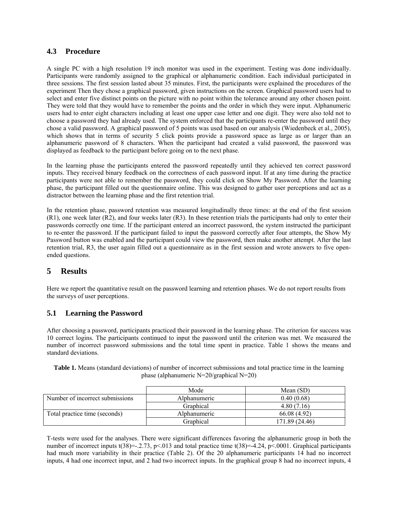#### **4.3 Procedure**

A single PC with a high resolution 19 inch monitor was used in the experiment. Testing was done individually. Participants were randomly assigned to the graphical or alphanumeric condition. Each individual participated in three sessions. The first session lasted about 35 minutes. First, the participants were explained the procedures of the experiment Then they chose a graphical password, given instructions on the screen. Graphical password users had to select and enter five distinct points on the picture with no point within the tolerance around any other chosen point. They were told that they would have to remember the points and the order in which they were input. Alphanumeric users had to enter eight characters including at least one upper case letter and one digit. They were also told not to choose a password they had already used. The system enforced that the participants re-enter the password until they chose a valid password. A graphical password of 5 points was used based on our analysis (Wiedenbeck et al., 2005), which shows that in terms of security 5 click points provide a password space as large as or larger than an alphanumeric password of 8 characters. When the participant had created a valid password, the password was displayed as feedback to the participant before going on to the next phase.

In the learning phase the participants entered the password repeatedly until they achieved ten correct password inputs. They received binary feedback on the correctness of each password input. If at any time during the practice participants were not able to remember the password, they could click on Show My Password. After the learning phase, the participant filled out the questionnaire online. This was designed to gather user perceptions and act as a distractor between the learning phase and the first retention trial.

In the retention phase, password retention was measured longitudinally three times: at the end of the first session (R1), one week later (R2), and four weeks later (R3). In these retention trials the participants had only to enter their passwords correctly one time. If the participant entered an incorrect password, the system instructed the participant to re-enter the password. If the participant failed to input the password correctly after four attempts, the Show My Password button was enabled and the participant could view the password, then make another attempt. After the last retention trial, R3, the user again filled out a questionnaire as in the first session and wrote answers to five openended questions.

# **5 Results**

Here we report the quantitative result on the password learning and retention phases. We do not report results from the surveys of user perceptions.

### **5.1 Learning the Password**

After choosing a password, participants practiced their password in the learning phase. The criterion for success was 10 correct logins. The participants continued to input the password until the criterion was met. We measured the number of incorrect password submissions and the total time spent in practice. Table 1 shows the means and standard deviations.

| Table 1. Means (standard deviations) of number of incorrect submissions and total practice time in the learning |  |
|-----------------------------------------------------------------------------------------------------------------|--|
| phase (alphanumeric $N=20/graphical N=20$ )                                                                     |  |

|                                 | Mode                | Mean $(SD)$    |  |
|---------------------------------|---------------------|----------------|--|
| Number of incorrect submissions | <i>Alphanumeric</i> | 0.40(0.68)     |  |
|                                 | Graphical           | 4.80(7.16)     |  |
| Total practice time (seconds)   | Alphanumeric        | 66.08 (4.92)   |  |
|                                 | Graphical           | 171.89 (24.46) |  |

T-tests were used for the analyses. There were significant differences favoring the alphanumeric group in both the number of incorrect inputs t(38)=-.2.73, p<.013 and total practice time t(38)=-4.24, p<.0001. Graphical participants had much more variability in their practice (Table 2). Of the 20 alphanumeric participants 14 had no incorrect inputs, 4 had one incorrect input, and 2 had two incorrect inputs. In the graphical group 8 had no incorrect inputs, 4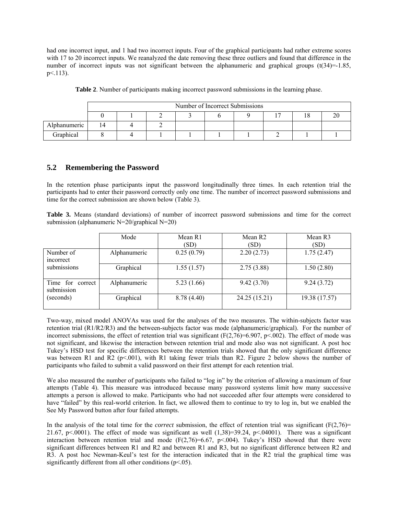had one incorrect input, and 1 had two incorrect inputs. Four of the graphical participants had rather extreme scores with 17 to 20 incorrect inputs. We reanalyzed the date removing these three outliers and found that difference in the number of incorrect inputs was not significant between the alphanumeric and graphical groups  $(t(34)=1.85)$ .  $p<113$ ).

|              | Number of Incorrect Submissions |  |  |  |  |  |  |  |
|--------------|---------------------------------|--|--|--|--|--|--|--|
|              |                                 |  |  |  |  |  |  |  |
| Alphanumeric | 14                              |  |  |  |  |  |  |  |
| Graphical    |                                 |  |  |  |  |  |  |  |

**Table 2**. Number of participants making incorrect password submissions in the learning phase.

#### **5.2 Remembering the Password**

In the retention phase participants input the password longitudinally three times. In each retention trial the participants had to enter their password correctly only one time. The number of incorrect password submissions and time for the correct submission are shown below (Table 3).

**Table 3.** Means (standard deviations) of number of incorrect password submissions and time for the correct submission (alphanumeric N=20/graphical N=20)

|                                   | Mode         | Mean R1<br>(SD) | Mean R <sub>2</sub><br>(SD) | Mean R3<br>(SD) |
|-----------------------------------|--------------|-----------------|-----------------------------|-----------------|
| Number of<br>incorrect            | Alphanumeric | 0.25(0.79)      | 2.20(2.73)                  | 1.75(2.47)      |
| submissions                       | Graphical    | 1.55(1.57)      | 2.75(3.88)                  | 1.50(2.80)      |
| Time for<br>correct<br>submission | Alphanumeric | 5.23(1.66)      | 9.42(3.70)                  | 9.24(3.72)      |
| (seconds)                         | Graphical    | 8.78 (4.40)     | 24.25 (15.21)               | 19.38 (17.57)   |

Two-way, mixed model ANOVAs was used for the analyses of the two measures. The within-subjects factor was retention trial (R1/R2/R3) and the between-subjects factor was mode (alphanumeric/graphical). For the number of incorrect submissions, the effect of retention trial was significant  $(F(2,76)=6.907, p<.002)$ . The effect of mode was not significant, and likewise the interaction between retention trial and mode also was not significant. A post hoc Tukey's HSD test for specific differences between the retention trials showed that the only significant difference was between R1 and R2 ( $p<001$ ), with R1 taking fewer trials than R2. Figure 2 below shows the number of participants who failed to submit a valid password on their first attempt for each retention trial.

We also measured the number of participants who failed to "log in" by the criterion of allowing a maximum of four attempts (Table 4). This measure was introduced because many password systems limit how many successive attempts a person is allowed to make. Participants who had not succeeded after four attempts were considered to have "failed" by this real-world criterion. In fact, we allowed them to continue to try to log in, but we enabled the See My Password button after four failed attempts.

In the analysis of the total time for the *correct* submission, the effect of retention trial was significant  $(F(2,76))$ 21.67, p<.0001). The effect of mode was significant as well  $(1,38)=39.24$ , p<.04001). There was a significant interaction between retention trial and mode  $(F(2.76)=6.67, p<0.04)$ . Tukey's HSD showed that there were significant differences between R1 and R2 and between R1 and R3, but no significant difference between R2 and R3. A post hoc Newman-Keul's test for the interaction indicated that in the R2 trial the graphical time was significantly different from all other conditions  $(p<0.05)$ .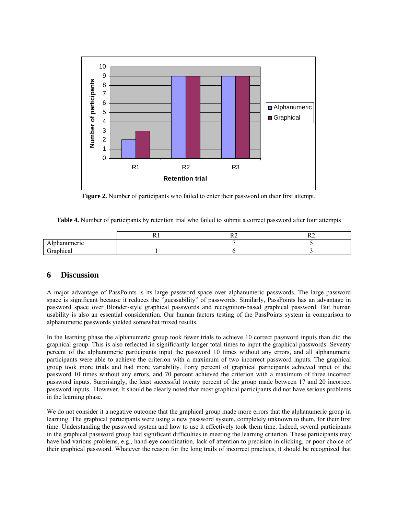

**Figure 2.** Number of participants who failed to enter their password on their first attempt.

**Table 4.** Number of participants by retention trial who failed to submit a correct password after four attempts

|                                        | . | ~ -<br>┄ | -<br>$\sim$ |
|----------------------------------------|---|----------|-------------|
| omeric communications and<br>'IU<br>иш |   |          |             |
| . .<br>iranhica<br>vu.<br>ີ            |   |          |             |

# **6 Discussion**

A major advantage of PassPoints is its large password space over alphanumeric passwords. The large password space is significant because it reduces the "guessability" of passwords. Similarly, PassPoints has an advantage in password space over Blonder-style graphical passwords and recognition-based graphical password. But human usability is also an essential consideration. Our human factors testing of the PassPoints system in comparison to alphanumeric passwords yielded somewhat mixed results.

In the learning phase the alphanumeric group took fewer trials to achieve 10 correct password inputs than did the graphical group. This is also reflected in significantly longer total times to input the graphical passwords. Seventy percent of the alphanumeric participants input the password 10 times without any errors, and all alphanumeric participants were able to achieve the criterion with a maximum of two incorrect password inputs. The graphical group took more trials and had more variability. Forty percent of graphical participants achieved input of the password 10 times without any errors, and 70 percent achieved the criterion with a maximum of three incorrect password inputs. Surprisingly, the least successful twenty percent of the group made between 17 and 20 incorrect password inputs. However. It should be clearly noted that most graphical participants did not have serious problems in the learning phase.

We do not consider it a negative outcome that the graphical group made more errors that the alphanumeric group in learning. The graphical participants were using a new password system, completely unknown to them, for their first time. Understanding the password system and how to use it effectively took them time. Indeed, several participants in the graphical password group had significant difficulties in meeting the learning criterion. These participants may have had various problems, e.g., hand-eye coordination, lack of attention to precision in clicking, or poor choice of their graphical password. Whatever the reason for the long trails of incorrect practices, it should be recognized that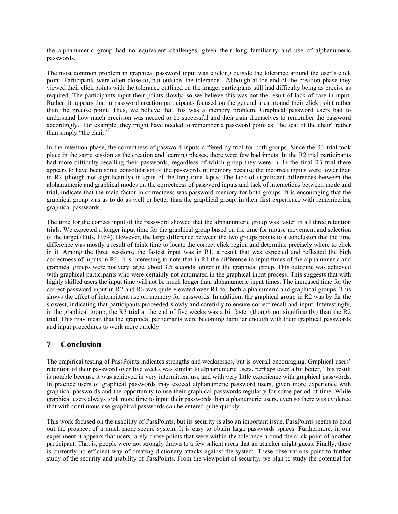the alphanumeric group had no equivalent challenges, given their long familiarity and use of alphanumeric passwords.

The most common problem in graphical password input was clicking outside the tolerance around the user's click point. Participants were often close to, but outside, the tolerance. Although at the end of the creation phase they viewed their click points with the tolerance outlined on the image, participants still had difficulty being as precise as required. The participants input their points slowly, so we believe this was not the result of lack of care in input. Rather, it appears that in password creation participants focused on the general area around their click point rather than the precise point. Thus, we believe that this was a memory problem. Graphical password users had to understand how much precision was needed to be successful and then train themselves to remember the password accordingly. For example, they might have needed to remember a password point as "the seat of the chair" rather than simply "the chair."

In the retention phase, the correctness of password inputs differed by trial for both groups. Since the R1 trial took place in the same session as the creation and learning phases, there were few bad inputs. In the R2 trial participants had more difficulty recalling their passwords, regardless of which group they were in. In the final R3 trial there appears to have been some consolidation of the passwords in memory because the incorrect inputs were lower than in R2 (though not significantly) in spite of the long time lapse. The lack of significant differences between the alphanumeric and graphical modes on the correctness of password inputs and lack of interactions between mode and trial, indicate that the main factor in correctness was password memory for both groups. It is encouraging that the graphical group was as to do as well or better than the graphical group, in their first experience with remembering graphical passwords.

The time for the correct input of the password showed that the alphanumeric group was faster in all three retention trials. We expected a longer input time for the graphical group based on the time for mouse movement and selection of the target (Fitts, 1954). However, the large difference between the two groups points to a conclusion that the time difference was mostly a result of think time to locate the correct click region and determine precisely where to click in it. Among the three sessions, the fastest input was in R1, a result that was expected and reflected the high correctness of inputs in R1. It is interesting to note that in R1 the difference in input times of the alphanumeric and graphical groups were not very large, about 3.5 seconds longer in the graphical group. This outcome was achieved with graphical participants who were certainly not automated in the graphical input process. This suggests that with highly skilled users the input time will not be much longer than alphanumeric input times. The increased time for the correct password input in R2 and R3 was quite elevated over R1 for both alphanumeric and graphical groups. This shows the effect of intermittent use on memory for passwords. In addition, the graphical group in R2 was by far the slowest, indicating that participants proceeded slowly and carefully to ensure correct recall and input. Interestingly, in the graphical group, the R3 trial at the end of five weeks was a bit faster (though not significantly) than the R2 trial. This may mean that the graphical participants were becoming familiar enough with their graphical passwords and input procedures to work more quickly.

# **7 Conclusion**

The empirical testing of PassPoints indicates strengths and weaknesses, but is overall encouraging. Graphical users' retention of their password over five weeks was similar to alphanumeric users, perhaps even a bit better, This result is notable because it was achieved in very intermittent use and with very little experience with graphical passwords. In practice users of graphical passwords may exceed alphanumeric password users, given more experience with graphical passwords and the opportunity to use their graphical passwords regularly for some period of time. While graphical users always took more time to input their passwords than alphanumeric users, even so there was evidence that with continuous use graphical passwords can be entered quite quickly.

This work focused on the usability of PassPoints, but its security is also an important issue. PassPoints seems to hold out the prospect of a much more secure system. It is easy to obtain large passwords spaces. Furthermore, in our experiment it appears that users rarely chose points that were within the tolerance around the click point of another participant. That is, people were not strongly drawn to a few salient areas that an attacker might guess. Finally, there is currently no efficient way of creating dictionary attacks against the system. These observations point to further study of the security and usability of PassPoints. From the viewpoint of security, we plan to study the potential for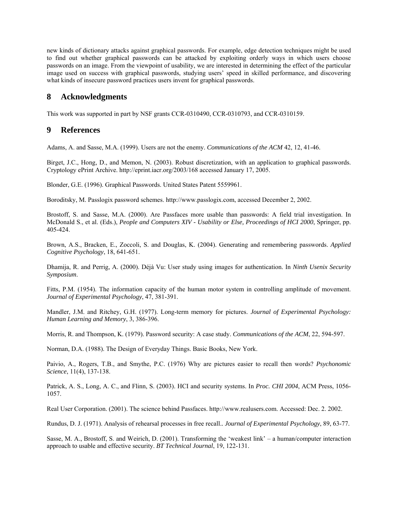new kinds of dictionary attacks against graphical passwords. For example, edge detection techniques might be used to find out whether graphical passwords can be attacked by exploiting orderly ways in which users choose passwords on an image. From the viewpoint of usability, we are interested in determining the effect of the particular image used on success with graphical passwords, studying users' speed in skilled performance, and discovering what kinds of insecure password practices users invent for graphical passwords.

## **8 Acknowledgments**

This work was supported in part by NSF grants CCR-0310490, CCR-0310793, and CCR-0310159.

### **9 References**

Adams, A. and Sasse, M.A. (1999). Users are not the enemy. *Communications of the ACM* 42, 12, 41-46.

Birget, J.C., Hong, D., and Memon, N. (2003). Robust discretization, with an application to graphical passwords. Cryptology ePrint Archive. http://eprint.iacr.org/2003/168 accessed January 17, 2005.

Blonder, G.E. (1996). Graphical Passwords. United States Patent 5559961.

Boroditsky, M. Passlogix password schemes. http://www.passlogix.com, accessed December 2, 2002.

Brostoff, S. and Sasse, M.A. (2000). Are Passfaces more usable than passwords: A field trial investigation. In McDonald S., et al. (Eds.), *People and Computers XIV - Usability or Else, Proceedings of HCI 2000*, Springer, pp. 405-424.

Brown, A.S., Bracken, E., Zoccoli, S. and Douglas, K. (2004). Generating and remembering passwords. *Applied Cognitive Psychology*, 18, 641-651.

Dhamija, R. and Perrig, A. (2000). Déjà Vu: User study using images for authentication. In *Ninth Usenix Security Symposium*.

Fitts, P.M. (1954). The information capacity of the human motor system in controlling amplitude of movement. *Journal of Experimental Psychology*, 47, 381-391.

Mandler, J.M. and Ritchey, G.H. (1977). Long-term memory for pictures. *Journal of Experimental Psychology: Human Learning and Memory*, 3, 386-396.

Morris, R. and Thompson, K. (1979). Password security: A case study. *Communications of the ACM*, 22, 594-597.

Norman, D.A. (1988). The Design of Everyday Things. Basic Books, New York.

Paivio, A., Rogers, T.B., and Smythe, P.C. (1976) Why are pictures easier to recall then words? *Psychonomic Science*, 11(4), 137-138.

Patrick, A. S., Long, A. C., and Flinn, S. (2003). HCI and security systems. In *Proc. CHI 2004*, ACM Press, 1056- 1057.

Real User Corporation. (2001). The science behind Passfaces. http://www.realusers.com. Accessed: Dec. 2. 2002.

Rundus, D. J. (1971). Analysis of rehearsal processes in free recall.*. Journal of Experimental Psychology*, 89, 63-77.

Sasse, M. A., Brostoff, S. and Weirich, D. (2001). Transforming the 'weakest link' – a human/computer interaction approach to usable and effective security. *BT Technical Journal*, 19, 122-131.